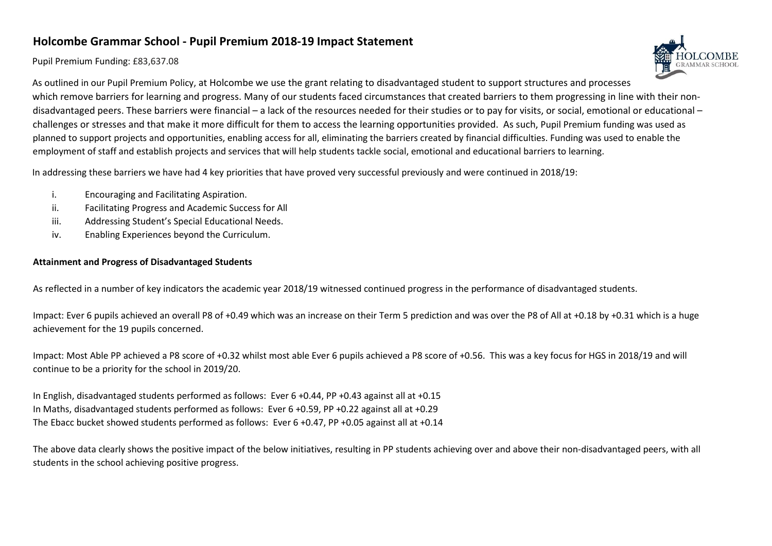## **Holcombe Grammar School - Pupil Premium 2018-19 Impact Statement**

## Pupil Premium Funding: £83,637.08



As outlined in our Pupil Premium Policy, at Holcombe we use the grant relating to disadvantaged student to support structures and processes which remove barriers for learning and progress. Many of our students faced circumstances that created barriers to them progressing in line with their nondisadvantaged peers. These barriers were financial – a lack of the resources needed for their studies or to pay for visits, or social, emotional or educational – challenges or stresses and that make it more difficult for them to access the learning opportunities provided. As such, Pupil Premium funding was used as planned to support projects and opportunities, enabling access for all, eliminating the barriers created by financial difficulties. Funding was used to enable the employment of staff and establish projects and services that will help students tackle social, emotional and educational barriers to learning.

In addressing these barriers we have had 4 key priorities that have proved very successful previously and were continued in 2018/19:

- i. Encouraging and Facilitating Aspiration.
- ii. Facilitating Progress and Academic Success for All
- iii. Addressing Student's Special Educational Needs.
- iv. Enabling Experiences beyond the Curriculum.

## **Attainment and Progress of Disadvantaged Students**

As reflected in a number of key indicators the academic year 2018/19 witnessed continued progress in the performance of disadvantaged students.

Impact: Ever 6 pupils achieved an overall P8 of +0.49 which was an increase on their Term 5 prediction and was over the P8 of All at +0.18 by +0.31 which is a huge achievement for the 19 pupils concerned.

Impact: Most Able PP achieved a P8 score of +0.32 whilst most able Ever 6 pupils achieved a P8 score of +0.56. This was a key focus for HGS in 2018/19 and will continue to be a priority for the school in 2019/20.

In English, disadvantaged students performed as follows: Ever 6 +0.44, PP +0.43 against all at +0.15 In Maths, disadvantaged students performed as follows: Ever 6 +0.59, PP +0.22 against all at +0.29 The Ebacc bucket showed students performed as follows: Ever 6 +0.47, PP +0.05 against all at +0.14

The above data clearly shows the positive impact of the below initiatives, resulting in PP students achieving over and above their non-disadvantaged peers, with all students in the school achieving positive progress.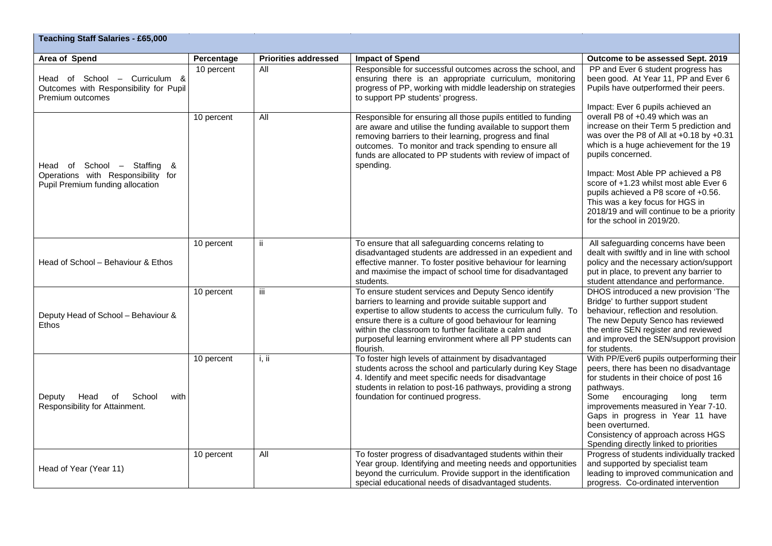| <b>Teaching Staff Salaries - £65,000</b>                                                              |            |                             |                                                                                                                                                                                                                                                                                                                                                                                |                                                                                                                                                                                                                                                                                                                                                                                                                                                                                                                                                                                           |  |  |
|-------------------------------------------------------------------------------------------------------|------------|-----------------------------|--------------------------------------------------------------------------------------------------------------------------------------------------------------------------------------------------------------------------------------------------------------------------------------------------------------------------------------------------------------------------------|-------------------------------------------------------------------------------------------------------------------------------------------------------------------------------------------------------------------------------------------------------------------------------------------------------------------------------------------------------------------------------------------------------------------------------------------------------------------------------------------------------------------------------------------------------------------------------------------|--|--|
| Area of Spend                                                                                         | Percentage | <b>Priorities addressed</b> | <b>Impact of Spend</b>                                                                                                                                                                                                                                                                                                                                                         | Outcome to be assessed Sept. 2019                                                                                                                                                                                                                                                                                                                                                                                                                                                                                                                                                         |  |  |
| Head of School - Curriculum &<br>Outcomes with Responsibility for Pupil<br>Premium outcomes           | 10 percent | All                         | Responsible for successful outcomes across the school, and<br>ensuring there is an appropriate curriculum, monitoring<br>progress of PP, working with middle leadership on strategies<br>to support PP students' progress.                                                                                                                                                     | PP and Ever 6 student progress has<br>been good. At Year 11, PP and Ever 6<br>Pupils have outperformed their peers.<br>Impact: Ever 6 pupils achieved an<br>overall P8 of +0.49 which was an<br>increase on their Term 5 prediction and<br>was over the P8 of All at +0.18 by +0.31<br>which is a huge achievement for the 19<br>pupils concerned.<br>Impact: Most Able PP achieved a P8<br>score of +1.23 whilst most able Ever 6<br>pupils achieved a P8 score of +0.56.<br>This was a key focus for HGS in<br>2018/19 and will continue to be a priority<br>for the school in 2019/20. |  |  |
| Head of School - Staffing &<br>Operations with Responsibility for<br>Pupil Premium funding allocation | 10 percent | All                         | Responsible for ensuring all those pupils entitled to funding<br>are aware and utilise the funding available to support them<br>removing barriers to their learning, progress and final<br>outcomes. To monitor and track spending to ensure all<br>funds are allocated to PP students with review of impact of<br>spending.                                                   |                                                                                                                                                                                                                                                                                                                                                                                                                                                                                                                                                                                           |  |  |
| Head of School - Behaviour & Ethos                                                                    | 10 percent | ji.                         | To ensure that all safeguarding concerns relating to<br>disadvantaged students are addressed in an expedient and<br>effective manner. To foster positive behaviour for learning<br>and maximise the impact of school time for disadvantaged<br>students.                                                                                                                       | All safeguarding concerns have been<br>dealt with swiftly and in line with school<br>policy and the necessary action/support<br>put in place, to prevent any barrier to<br>student attendance and performance.                                                                                                                                                                                                                                                                                                                                                                            |  |  |
| Deputy Head of School - Behaviour &<br><b>Ethos</b>                                                   | 10 percent | iii                         | To ensure student services and Deputy Senco identify<br>barriers to learning and provide suitable support and<br>expertise to allow students to access the curriculum fully. To<br>ensure there is a culture of good behaviour for learning<br>within the classroom to further facilitate a calm and<br>purposeful learning environment where all PP students can<br>flourish. | DHOS introduced a new provision 'The<br>Bridge' to further support student<br>behaviour, reflection and resolution.<br>The new Deputy Senco has reviewed<br>the entire SEN register and reviewed<br>and improved the SEN/support provision<br>for students.                                                                                                                                                                                                                                                                                                                               |  |  |
| School<br>Deputy<br>Head<br>of<br>with<br>Responsibility for Attainment.                              | 10 percent | i, ii                       | To foster high levels of attainment by disadvantaged<br>students across the school and particularly during Key Stage<br>4. Identify and meet specific needs for disadvantage<br>students in relation to post-16 pathways, providing a strong<br>foundation for continued progress.                                                                                             | With PP/Ever6 pupils outperforming their<br>peers, there has been no disadvantage<br>for students in their choice of post 16<br>pathways.<br>Some encouraging<br>long term<br>improvements measured in Year 7-10.<br>Gaps in progress in Year 11 have<br>been overturned.<br>Consistency of approach across HGS<br>Spending directly linked to priorities                                                                                                                                                                                                                                 |  |  |
| Head of Year (Year 11)                                                                                | 10 percent | All                         | To foster progress of disadvantaged students within their<br>Year group. Identifying and meeting needs and opportunities<br>beyond the curriculum. Provide support in the identification<br>special educational needs of disadvantaged students.                                                                                                                               | Progress of students individually tracked<br>and supported by specialist team<br>leading to improved communication and<br>progress. Co-ordinated intervention                                                                                                                                                                                                                                                                                                                                                                                                                             |  |  |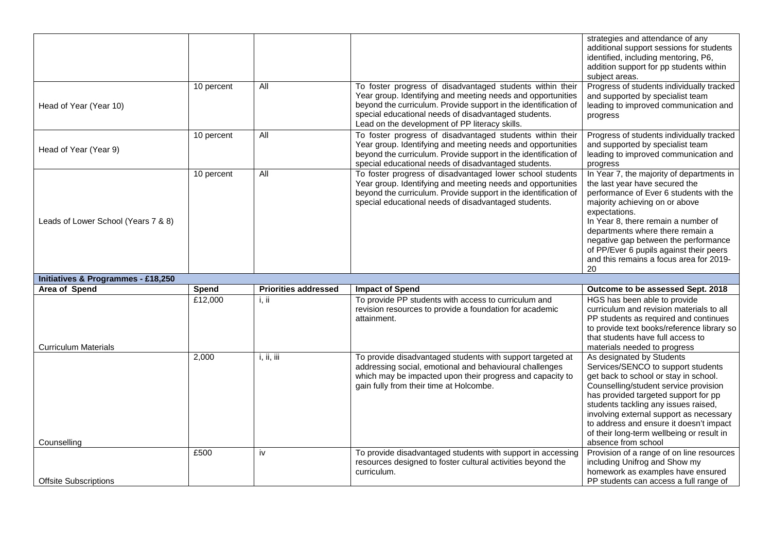|                                               |            |                             |                                                                                                                                                                                                                                                                                                       | strategies and attendance of any<br>additional support sessions for students<br>identified, including mentoring, P6,<br>addition support for pp students within<br>subject areas.                                                                                                                                                                                                        |
|-----------------------------------------------|------------|-----------------------------|-------------------------------------------------------------------------------------------------------------------------------------------------------------------------------------------------------------------------------------------------------------------------------------------------------|------------------------------------------------------------------------------------------------------------------------------------------------------------------------------------------------------------------------------------------------------------------------------------------------------------------------------------------------------------------------------------------|
| Head of Year (Year 10)                        | 10 percent | All                         | To foster progress of disadvantaged students within their<br>Year group. Identifying and meeting needs and opportunities<br>beyond the curriculum. Provide support in the identification of<br>special educational needs of disadvantaged students.<br>Lead on the development of PP literacy skills. | Progress of students individually tracked<br>and supported by specialist team<br>leading to improved communication and<br>progress                                                                                                                                                                                                                                                       |
| Head of Year (Year 9)                         | 10 percent | $\overline{All}$            | To foster progress of disadvantaged students within their<br>Year group. Identifying and meeting needs and opportunities<br>beyond the curriculum. Provide support in the identification of<br>special educational needs of disadvantaged students.                                                   | Progress of students individually tracked<br>and supported by specialist team<br>leading to improved communication and<br>progress                                                                                                                                                                                                                                                       |
| Leads of Lower School (Years 7 & 8)           | 10 percent | All                         | To foster progress of disadvantaged lower school students<br>Year group. Identifying and meeting needs and opportunities<br>beyond the curriculum. Provide support in the identification of<br>special educational needs of disadvantaged students.                                                   | In Year 7, the majority of departments in<br>the last year have secured the<br>performance of Ever 6 students with the<br>majority achieving on or above<br>expectations.<br>In Year 8, there remain a number of<br>departments where there remain a<br>negative gap between the performance<br>of PP/Ever 6 pupils against their peers<br>and this remains a focus area for 2019-<br>20 |
| <b>Initiatives &amp; Programmes - £18,250</b> |            |                             |                                                                                                                                                                                                                                                                                                       |                                                                                                                                                                                                                                                                                                                                                                                          |
| <b>Area of Spend</b>                          | Spend      | <b>Priorities addressed</b> | <b>Impact of Spend</b>                                                                                                                                                                                                                                                                                | Outcome to be assessed Sept. 2018                                                                                                                                                                                                                                                                                                                                                        |
| <b>Curriculum Materials</b>                   | £12,000    | i, ii                       | To provide PP students with access to curriculum and<br>revision resources to provide a foundation for academic<br>attainment.                                                                                                                                                                        | HGS has been able to provide<br>curriculum and revision materials to all<br>PP students as required and continues<br>to provide text books/reference library so<br>that students have full access to<br>materials needed to progress                                                                                                                                                     |
|                                               | 2,000      | i, ii, iii                  | To provide disadvantaged students with support targeted at<br>addressing social, emotional and behavioural challenges<br>which may be impacted upon their progress and capacity to<br>gain fully from their time at Holcombe.                                                                         | As designated by Students<br>Services/SENCO to support students<br>get back to school or stay in school.<br>Counselling/student service provision<br>has provided targeted support for pp<br>students tackling any issues raised,<br>involving external support as necessary<br>to address and ensure it doesn't impact<br>of their long-term wellbeing or result in                     |
| Counselling                                   |            |                             |                                                                                                                                                                                                                                                                                                       | absence from school                                                                                                                                                                                                                                                                                                                                                                      |
| <b>Offsite Subscriptions</b>                  | £500       | iv                          | To provide disadvantaged students with support in accessing<br>resources designed to foster cultural activities beyond the<br>curriculum.                                                                                                                                                             | Provision of a range of on line resources<br>including Unifrog and Show my<br>homework as examples have ensured<br>PP students can access a full range of                                                                                                                                                                                                                                |